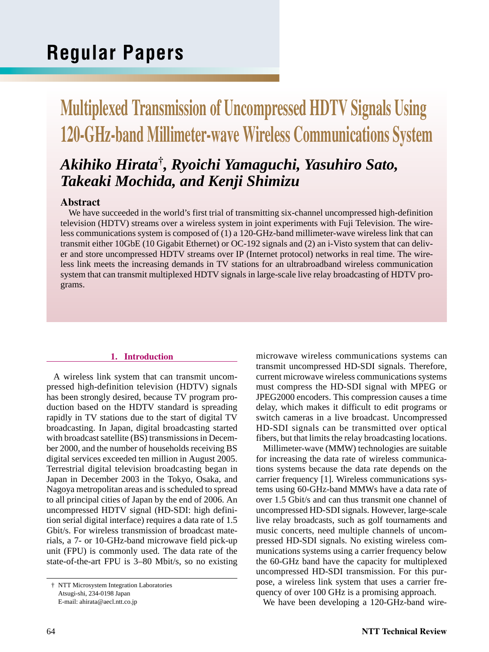# **Regular Papers**

# **Multiplexed Transmission of Uncompressed HDTV Signals Using 120-GHz-band Millimeter-wave Wireless Communications System**

# *Akihiko Hirata***†***, Ryoichi Yamaguchi, Yasuhiro Sato, Takeaki Mochida, and Kenji Shimizu*

# **Abstract**

We have succeeded in the world's first trial of transmitting six-channel uncompressed high-definition television (HDTV) streams over a wireless system in joint experiments with Fuji Television. The wireless communications system is composed of (1) a 120-GHz-band millimeter-wave wireless link that can transmit either 10GbE (10 Gigabit Ethernet) or OC-192 signals and (2) an i-Visto system that can deliver and store uncompressed HDTV streams over IP (Internet protocol) networks in real time. The wireless link meets the increasing demands in TV stations for an ultrabroadband wireless communication system that can transmit multiplexed HDTV signals in large-scale live relay broadcasting of HDTV programs.

## **1. Introduction**

A wireless link system that can transmit uncompressed high-definition television (HDTV) signals has been strongly desired, because TV program production based on the HDTV standard is spreading rapidly in TV stations due to the start of digital TV broadcasting. In Japan, digital broadcasting started with broadcast satellite (BS) transmissions in December 2000, and the number of households receiving BS digital services exceeded ten million in August 2005. Terrestrial digital television broadcasting began in Japan in December 2003 in the Tokyo, Osaka, and Nagoya metropolitan areas and is scheduled to spread to all principal cities of Japan by the end of 2006. An uncompressed HDTV signal (HD-SDI: high definition serial digital interface) requires a data rate of 1.5 Gbit/s. For wireless transmission of broadcast materials, a 7- or 10-GHz-band microwave field pick-up unit (FPU) is commonly used. The data rate of the state-of-the-art FPU is 3–80 Mbit/s, so no existing

microwave wireless communications systems can transmit uncompressed HD-SDI signals. Therefore, current microwave wireless communications systems must compress the HD-SDI signal with MPEG or JPEG2000 encoders. This compression causes a time delay, which makes it difficult to edit programs or switch cameras in a live broadcast. Uncompressed HD-SDI signals can be transmitted over optical fibers, but that limits the relay broadcasting locations.

Millimeter-wave (MMW) technologies are suitable for increasing the data rate of wireless communications systems because the data rate depends on the carrier frequency [1]. Wireless communications systems using 60-GHz-band MMWs have a data rate of over 1.5 Gbit/s and can thus transmit one channel of uncompressed HD-SDI signals. However, large-scale live relay broadcasts, such as golf tournaments and music concerts, need multiple channels of uncompressed HD-SDI signals. No existing wireless communications systems using a carrier frequency below the 60-GHz band have the capacity for multiplexed uncompressed HD-SDI transmission. For this purpose, a wireless link system that uses a carrier frequency of over 100 GHz is a promising approach.

We have been developing a 120-GHz-band wire-

<sup>†</sup> NTT Microsystem Integration Laboratories Atsugi-shi, 234-0198 Japan E-mail: ahirata@aecl.ntt.co.jp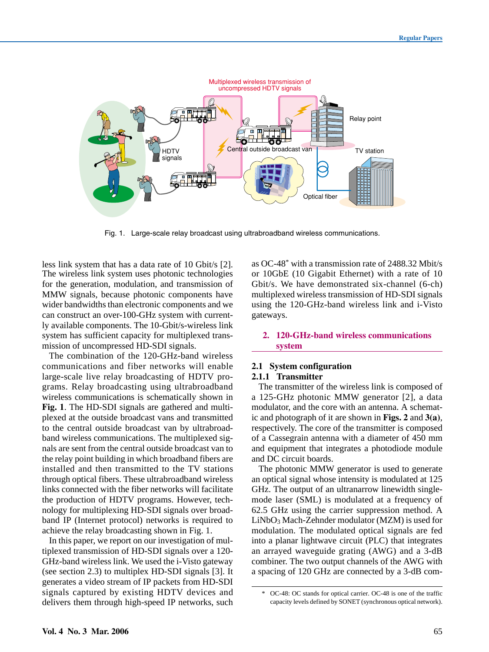

Fig. 1. Large-scale relay broadcast using ultrabroadband wireless communications.

less link system that has a data rate of 10 Gbit/s [2]. The wireless link system uses photonic technologies for the generation, modulation, and transmission of MMW signals, because photonic components have wider bandwidths than electronic components and we can construct an over-100-GHz system with currently available components. The 10-Gbit/s-wireless link system has sufficient capacity for multiplexed transmission of uncompressed HD-SDI signals.

The combination of the 120-GHz-band wireless communications and fiber networks will enable large-scale live relay broadcasting of HDTV programs. Relay broadcasting using ultrabroadband wireless communications is schematically shown in **Fig. 1**. The HD-SDI signals are gathered and multiplexed at the outside broadcast vans and transmitted to the central outside broadcast van by ultrabroadband wireless communications. The multiplexed signals are sent from the central outside broadcast van to the relay point building in which broadband fibers are installed and then transmitted to the TV stations through optical fibers. These ultrabroadband wireless links connected with the fiber networks will facilitate the production of HDTV programs. However, technology for multiplexing HD-SDI signals over broadband IP (Internet protocol) networks is required to achieve the relay broadcasting shown in Fig. 1.

In this paper, we report on our investigation of multiplexed transmission of HD-SDI signals over a 120- GHz-band wireless link. We used the i-Visto gateway (see section 2.3) to multiplex HD-SDI signals [3]. It generates a video stream of IP packets from HD-SDI signals captured by existing HDTV devices and delivers them through high-speed IP networks, such

as OC-48<sup>\*</sup> with a transmission rate of 2488.32 Mbit/s or 10GbE (10 Gigabit Ethernet) with a rate of 10 Gbit/s. We have demonstrated six-channel (6-ch) multiplexed wireless transmission of HD-SDI signals using the 120-GHz-band wireless link and i-Visto gateways.

### **2. 120-GHz-band wireless communications system**

#### **2.1 System configuration 2.1.1 Transmitter**

The transmitter of the wireless link is composed of a 125-GHz photonic MMW generator [2], a data modulator, and the core with an antenna. A schematic and photograph of it are shown in **Figs. 2** and **3(a)**, respectively. The core of the transmitter is composed of a Cassegrain antenna with a diameter of 450 mm and equipment that integrates a photodiode module and DC circuit boards.

The photonic MMW generator is used to generate an optical signal whose intensity is modulated at 125 GHz. The output of an ultranarrow linewidth singlemode laser (SML) is modulated at a frequency of 62.5 GHz using the carrier suppression method. A LiNbO<sub>3</sub> Mach-Zehnder modulator (MZM) is used for modulation. The modulated optical signals are fed into a planar lightwave circuit (PLC) that integrates an arrayed waveguide grating (AWG) and a 3-dB combiner. The two output channels of the AWG with a spacing of 120 GHz are connected by a 3-dB com-

<sup>\*</sup> OC-48: OC stands for optical carrier. OC-48 is one of the traffic capacity levels defined by SONET (synchronous optical network).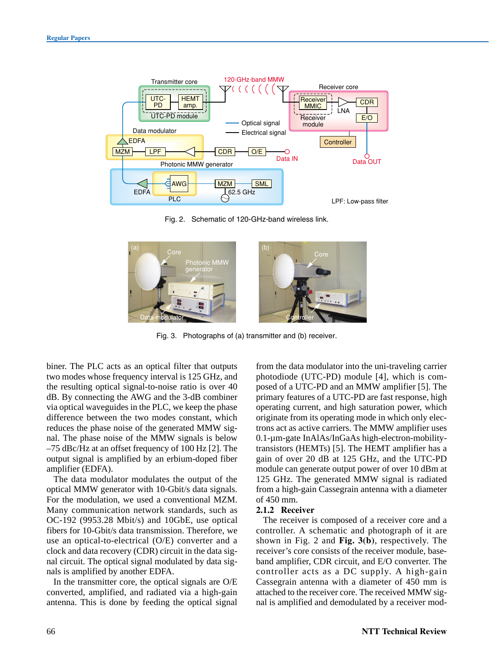

Fig. 2. Schematic of 120-GHz-band wireless link.



Fig. 3. Photographs of (a) transmitter and (b) receiver.

biner. The PLC acts as an optical filter that outputs two modes whose frequency interval is 125 GHz, and the resulting optical signal-to-noise ratio is over 40 dB. By connecting the AWG and the 3-dB combiner via optical waveguides in the PLC, we keep the phase difference between the two modes constant, which reduces the phase noise of the generated MMW signal. The phase noise of the MMW signals is below –75 dBc/Hz at an offset frequency of 100 Hz [2]. The output signal is amplified by an erbium-doped fiber amplifier (EDFA).

The data modulator modulates the output of the optical MMW generator with 10-Gbit/s data signals. For the modulation, we used a conventional MZM. Many communication network standards, such as OC-192 (9953.28 Mbit/s) and 10GbE, use optical fibers for 10-Gbit/s data transmission. Therefore, we use an optical-to-electrical (O/E) converter and a clock and data recovery (CDR) circuit in the data signal circuit. The optical signal modulated by data signals is amplified by another EDFA.

In the transmitter core, the optical signals are O/E converted, amplified, and radiated via a high-gain antenna. This is done by feeding the optical signal from the data modulator into the uni-traveling carrier photodiode (UTC-PD) module [4], which is composed of a UTC-PD and an MMW amplifier [5]. The primary features of a UTC-PD are fast response, high operating current, and high saturation power, which originate from its operating mode in which only electrons act as active carriers. The MMW amplifier uses 0.1-µm-gate InAlAs/InGaAs high-electron-mobilitytransistors (HEMTs) [5]. The HEMT amplifier has a gain of over 20 dB at 125 GHz, and the UTC-PD module can generate output power of over 10 dBm at 125 GHz. The generated MMW signal is radiated from a high-gain Cassegrain antenna with a diameter of 450 mm.

## **2.1.2 Receiver**

The receiver is composed of a receiver core and a controller. A schematic and photograph of it are shown in Fig. 2 and **Fig. 3(b)**, respectively. The receiver's core consists of the receiver module, baseband amplifier, CDR circuit, and E/O converter. The controller acts as a DC supply. A high-gain Cassegrain antenna with a diameter of 450 mm is attached to the receiver core. The received MMW signal is amplified and demodulated by a receiver mod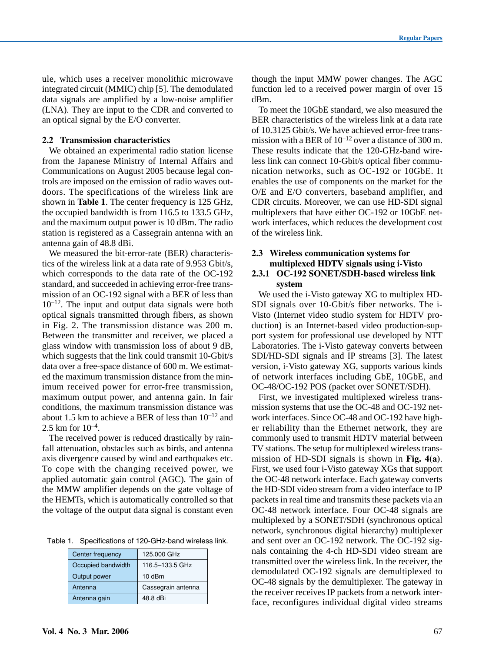ule, which uses a receiver monolithic microwave integrated circuit (MMIC) chip [5]. The demodulated data signals are amplified by a low-noise amplifier (LNA). They are input to the CDR and converted to an optical signal by the E/O converter.

#### **2.2 Transmission characteristics**

We obtained an experimental radio station license from the Japanese Ministry of Internal Affairs and Communications on August 2005 because legal controls are imposed on the emission of radio waves outdoors. The specifications of the wireless link are shown in **Table 1**. The center frequency is 125 GHz, the occupied bandwidth is from 116.5 to 133.5 GHz, and the maximum output power is 10 dBm. The radio station is registered as a Cassegrain antenna with an antenna gain of 48.8 dBi.

We measured the bit-error-rate (BER) characteristics of the wireless link at a data rate of 9.953 Gbit/s, which corresponds to the data rate of the OC-192 standard, and succeeded in achieving error-free transmission of an OC-192 signal with a BER of less than  $10^{-12}$ . The input and output data signals were both optical signals transmitted through fibers, as shown in Fig. 2. The transmission distance was 200 m. Between the transmitter and receiver, we placed a glass window with transmission loss of about 9 dB, which suggests that the link could transmit 10-Gbit/s data over a free-space distance of 600 m. We estimated the maximum transmission distance from the minimum received power for error-free transmission, maximum output power, and antenna gain. In fair conditions, the maximum transmission distance was about 1.5 km to achieve a BER of less than  $10^{-12}$  and 2.5 km for  $10^{-4}$ .

The received power is reduced drastically by rainfall attenuation, obstacles such as birds, and antenna axis divergence caused by wind and earthquakes etc. To cope with the changing received power, we applied automatic gain control (AGC). The gain of the MMW amplifier depends on the gate voltage of the HEMTs, which is automatically controlled so that the voltage of the output data signal is constant even

Table 1. Specifications of 120-GHz-band wireless link.

| Center frequency   | 125,000 GHz        |
|--------------------|--------------------|
| Occupied bandwidth | 116.5-133.5 GHz    |
| Output power       | 10dBm              |
| Antenna            | Cassegrain antenna |
| Antenna gain       | 48.8 dBi           |

though the input MMW power changes. The AGC function led to a received power margin of over 15 dBm.

To meet the 10GbE standard, we also measured the BER characteristics of the wireless link at a data rate of 10.3125 Gbit/s. We have achieved error-free transmission with a BER of  $10^{-12}$  over a distance of 300 m. These results indicate that the 120-GHz-band wireless link can connect 10-Gbit/s optical fiber communication networks, such as OC-192 or 10GbE. It enables the use of components on the market for the O/E and E/O converters, baseband amplifier, and CDR circuits. Moreover, we can use HD-SDI signal multiplexers that have either OC-192 or 10GbE network interfaces, which reduces the development cost of the wireless link.

# **2.3 Wireless communication systems for multiplexed HDTV signals using i-Visto**

# **2.3.1 OC-192 SONET/SDH-based wireless link system**

We used the i-Visto gateway XG to multiplex HD-SDI signals over 10-Gbit/s fiber networks. The i-Visto (Internet video studio system for HDTV production) is an Internet-based video production-support system for professional use developed by NTT Laboratories. The i-Visto gateway converts between SDI/HD-SDI signals and IP streams [3]. The latest version, i-Visto gateway XG, supports various kinds of network interfaces including GbE, 10GbE, and OC-48/OC-192 POS (packet over SONET/SDH).

First, we investigated multiplexed wireless transmission systems that use the OC-48 and OC-192 network interfaces. Since OC-48 and OC-192 have higher reliability than the Ethernet network, they are commonly used to transmit HDTV material between TV stations. The setup for multiplexed wireless transmission of HD-SDI signals is shown in **Fig. 4(a)**. First, we used four i-Visto gateway XGs that support the OC-48 network interface. Each gateway converts the HD-SDI video stream from a video interface to IP packets in real time and transmits these packets via an OC-48 network interface. Four OC-48 signals are multiplexed by a SONET/SDH (synchronous optical network, synchronous digital hierarchy) multiplexer and sent over an OC-192 network. The OC-192 signals containing the 4-ch HD-SDI video stream are transmitted over the wireless link. In the receiver, the demodulated OC-192 signals are demultiplexed to OC-48 signals by the demultiplexer. The gateway in the receiver receives IP packets from a network interface, reconfigures individual digital video streams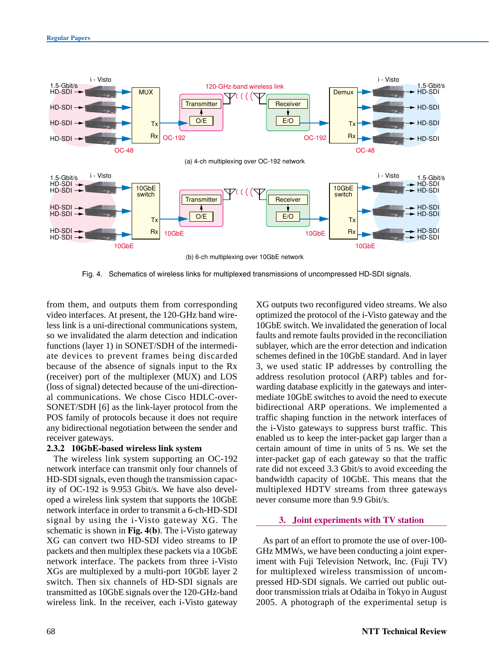

Fig. 4. Schematics of wireless links for multiplexed transmissions of uncompressed HD-SDI signals.

from them, and outputs them from corresponding video interfaces. At present, the 120-GHz band wireless link is a uni-directional communications system, so we invalidated the alarm detection and indication functions (layer 1) in SONET/SDH of the intermediate devices to prevent frames being discarded because of the absence of signals input to the Rx (receiver) port of the multiplexer (MUX) and LOS (loss of signal) detected because of the uni-directional communications. We chose Cisco HDLC-over-SONET/SDH [6] as the link-layer protocol from the POS family of protocols because it does not require any bidirectional negotiation between the sender and receiver gateways.

## **2.3.2 10GbE-based wireless link system**

The wireless link system supporting an OC-192 network interface can transmit only four channels of HD-SDI signals, even though the transmission capacity of OC-192 is 9.953 Gbit/s. We have also developed a wireless link system that supports the 10GbE network interface in order to transmit a 6-ch-HD-SDI signal by using the i-Visto gateway XG. The schematic is shown in **Fig. 4(b)**. The i-Visto gateway XG can convert two HD-SDI video streams to IP packets and then multiplex these packets via a 10GbE network interface. The packets from three i-Visto XGs are multiplexed by a multi-port 10GbE layer 2 switch. Then six channels of HD-SDI signals are transmitted as 10GbE signals over the 120-GHz-band wireless link. In the receiver, each i-Visto gateway XG outputs two reconfigured video streams. We also optimized the protocol of the i-Visto gateway and the 10GbE switch. We invalidated the generation of local faults and remote faults provided in the reconciliation sublayer, which are the error detection and indication schemes defined in the 10GbE standard. And in layer 3, we used static IP addresses by controlling the address resolution protocol (ARP) tables and forwarding database explicitly in the gateways and intermediate 10GbE switches to avoid the need to execute bidirectional ARP operations. We implemented a traffic shaping function in the network interfaces of the i-Visto gateways to suppress burst traffic. This enabled us to keep the inter-packet gap larger than a certain amount of time in units of 5 ns. We set the inter-packet gap of each gateway so that the traffic rate did not exceed 3.3 Gbit/s to avoid exceeding the bandwidth capacity of 10GbE. This means that the multiplexed HDTV streams from three gateways never consume more than 9.9 Gbit/s.

## **3. Joint experiments with TV station**

As part of an effort to promote the use of over-100- GHz MMWs, we have been conducting a joint experiment with Fuji Television Network, Inc. (Fuji TV) for multiplexed wireless transmission of uncompressed HD-SDI signals. We carried out public outdoor transmission trials at Odaiba in Tokyo in August 2005. A photograph of the experimental setup is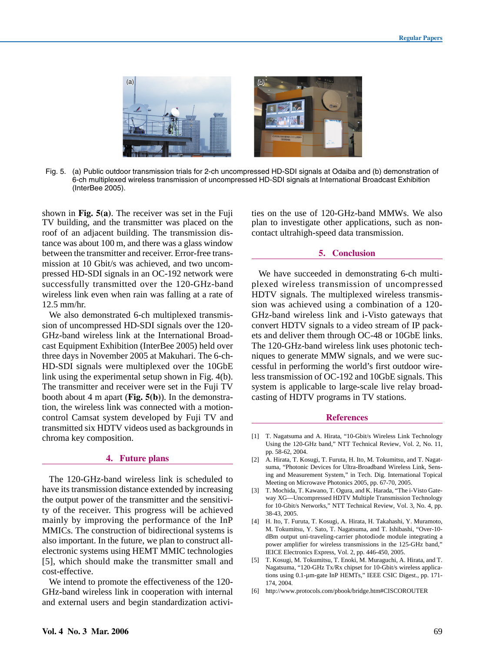

Fig. 5. (a) Public outdoor transmission trials for 2-ch uncompressed HD-SDI signals at Odaiba and (b) demonstration of 6-ch multiplexed wireless transmission of uncompressed HD-SDI signals at International Broadcast Exhibition (InterBee 2005).

shown in **Fig. 5(a)**. The receiver was set in the Fuji TV building, and the transmitter was placed on the roof of an adjacent building. The transmission distance was about 100 m, and there was a glass window between the transmitter and receiver. Error-free transmission at 10 Gbit/s was achieved, and two uncompressed HD-SDI signals in an OC-192 network were successfully transmitted over the 120-GHz-band wireless link even when rain was falling at a rate of 12.5 mm/hr.

We also demonstrated 6-ch multiplexed transmission of uncompressed HD-SDI signals over the 120- GHz-band wireless link at the International Broadcast Equipment Exhibition (InterBee 2005) held over three days in November 2005 at Makuhari. The 6-ch-HD-SDI signals were multiplexed over the 10GbE link using the experimental setup shown in Fig. 4(b). The transmitter and receiver were set in the Fuji TV booth about 4 m apart (**Fig. 5(b)**). In the demonstration, the wireless link was connected with a motioncontrol Camsat system developed by Fuji TV and transmitted six HDTV videos used as backgrounds in chroma key composition.

#### **4. Future plans**

The 120-GHz-band wireless link is scheduled to have its transmission distance extended by increasing the output power of the transmitter and the sensitivity of the receiver. This progress will be achieved mainly by improving the performance of the InP MMICs. The construction of bidirectional systems is also important. In the future, we plan to construct allelectronic systems using HEMT MMIC technologies [5], which should make the transmitter small and cost-effective.

We intend to promote the effectiveness of the 120- GHz-band wireless link in cooperation with internal and external users and begin standardization activities on the use of 120-GHz-band MMWs. We also plan to investigate other applications, such as noncontact ultrahigh-speed data transmission.

## **5. Conclusion**

We have succeeded in demonstrating 6-ch multiplexed wireless transmission of uncompressed HDTV signals. The multiplexed wireless transmission was achieved using a combination of a 120- GHz-band wireless link and i-Visto gateways that convert HDTV signals to a video stream of IP packets and deliver them through OC-48 or 10GbE links. The 120-GHz-band wireless link uses photonic techniques to generate MMW signals, and we were successful in performing the world's first outdoor wireless transmission of OC-192 and 10GbE signals. This system is applicable to large-scale live relay broadcasting of HDTV programs in TV stations.

#### **References**

- [1] T. Nagatsuma and A. Hirata, "10-Gbit/s Wireless Link Technology Using the 120-GHz band," NTT Technical Review, Vol. 2, No. 11, pp. 58-62, 2004.
- [2] A. Hirata, T. Kosugi, T. Furuta, H. Ito, M. Tokumitsu, and T. Nagatsuma, "Photonic Devices for Ultra-Broadband Wireless Link, Sensing and Measurement System," in Tech. Dig. International Topical Meeting on Microwave Photonics 2005, pp. 67-70, 2005.
- [3] T. Mochida, T. Kawano, T. Ogura, and K. Harada, "The i-Visto Gateway XG—Uncompressed HDTV Multiple Transmission Technology for 10-Gbit/s Networks," NTT Technical Review, Vol. 3, No. 4, pp. 38-43, 2005.
- [4] H. Ito, T. Furuta, T. Kosugi, A. Hirata, H. Takahashi, Y. Muramoto, M. Tokumitsu, Y. Sato, T. Nagatsuma, and T. Ishibashi, "Over-10 dBm output uni-traveling-carrier photodiode module integrating a power amplifier for wireless transmissions in the 125-GHz band," IEICE Electronics Express, Vol. 2, pp. 446-450, 2005.
- [5] T. Kosugi, M. Tokumitsu, T. Enoki, M. Muraguchi, A. Hirata, and T. Nagatsuma, "120-GHz Tx/Rx chipset for 10-Gbit/s wireless applications using 0.1-µm-gate InP HEMTs," IEEE CSIC Digest., pp. 171- 174, 2004.
- [6] http://www.protocols.com/pbook/bridge.htm#CISCOROUTER